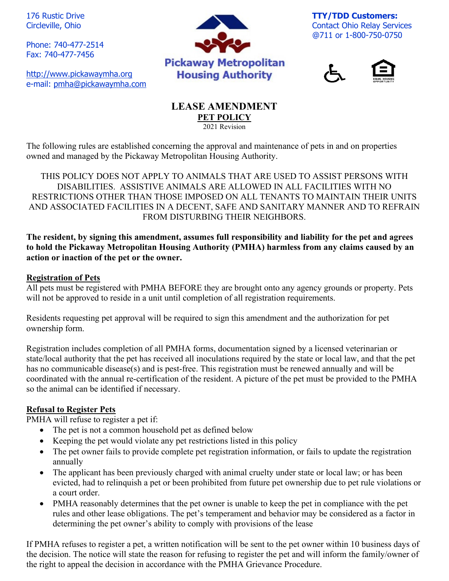176 Rustic Drive Circleville, Ohio

Phone: 740-477-2514 Fax: 740-477-7456

[http://www.pickawaymha.org](http://www.pickawaymha.org/) e-mail: [pmha@pickawaymha.com](mailto:pmha@pickawaymha.com)



**TTY/TDD Customers:** Contact Ohio Relay Services @711 or 1-800-750-0750





#### **LEASE AMENDMENT PET POLICY**  $\overline{2021}$  Revision

The following rules are established concerning the approval and maintenance of pets in and on properties owned and managed by the Pickaway Metropolitan Housing Authority.

THIS POLICY DOES NOT APPLY TO ANIMALS THAT ARE USED TO ASSIST PERSONS WITH DISABILITIES. ASSISTIVE ANIMALS ARE ALLOWED IN ALL FACILITIES WITH NO RESTRICTIONS OTHER THAN THOSE IMPOSED ON ALL TENANTS TO MAINTAIN THEIR UNITS AND ASSOCIATED FACILITIES IN A DECENT, SAFE AND SANITARY MANNER AND TO REFRAIN FROM DISTURBING THEIR NEIGHBORS.

**The resident, by signing this amendment, assumes full responsibility and liability for the pet and agrees to hold the Pickaway Metropolitan Housing Authority (PMHA) harmless from any claims caused by an action or inaction of the pet or the owner.**

### **Registration of Pets**

All pets must be registered with PMHA BEFORE they are brought onto any agency grounds or property. Pets will not be approved to reside in a unit until completion of all registration requirements.

Residents requesting pet approval will be required to sign this amendment and the authorization for pet ownership form.

Registration includes completion of all PMHA forms, documentation signed by a licensed veterinarian or state/local authority that the pet has received all inoculations required by the state or local law, and that the pet has no communicable disease(s) and is pest-free. This registration must be renewed annually and will be coordinated with the annual re-certification of the resident. A picture of the pet must be provided to the PMHA so the animal can be identified if necessary.

### **Refusal to Register Pets**

PMHA will refuse to register a pet if:

- The pet is not a common household pet as defined below
- Keeping the pet would violate any pet restrictions listed in this policy
- The pet owner fails to provide complete pet registration information, or fails to update the registration annually
- The applicant has been previously charged with animal cruelty under state or local law; or has been evicted, had to relinquish a pet or been prohibited from future pet ownership due to pet rule violations or a court order.
- PMHA reasonably determines that the pet owner is unable to keep the pet in compliance with the pet rules and other lease obligations. The pet's temperament and behavior may be considered as a factor in determining the pet owner's ability to comply with provisions of the lease

If PMHA refuses to register a pet, a written notification will be sent to the pet owner within 10 business days of the decision. The notice will state the reason for refusing to register the pet and will inform the family/owner of the right to appeal the decision in accordance with the PMHA Grievance Procedure.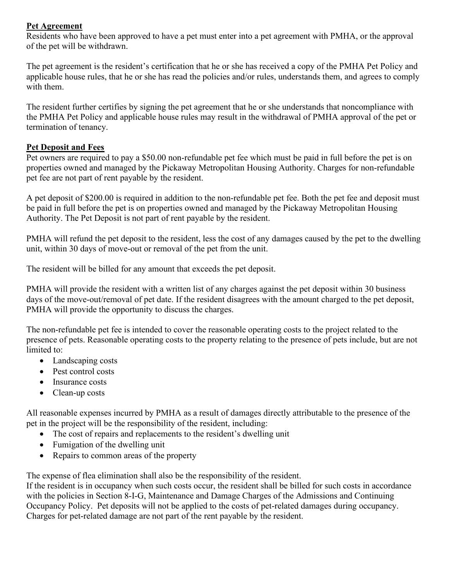# **Pet Agreement**

Residents who have been approved to have a pet must enter into a pet agreement with PMHA, or the approval of the pet will be withdrawn.

The pet agreement is the resident's certification that he or she has received a copy of the PMHA Pet Policy and applicable house rules, that he or she has read the policies and/or rules, understands them, and agrees to comply with them.

The resident further certifies by signing the pet agreement that he or she understands that noncompliance with the PMHA Pet Policy and applicable house rules may result in the withdrawal of PMHA approval of the pet or termination of tenancy.

## **Pet Deposit and Fees**

Pet owners are required to pay a \$50.00 non-refundable pet fee which must be paid in full before the pet is on properties owned and managed by the Pickaway Metropolitan Housing Authority. Charges for non-refundable pet fee are not part of rent payable by the resident.

A pet deposit of \$200.00 is required in addition to the non-refundable pet fee. Both the pet fee and deposit must be paid in full before the pet is on properties owned and managed by the Pickaway Metropolitan Housing Authority. The Pet Deposit is not part of rent payable by the resident.

PMHA will refund the pet deposit to the resident, less the cost of any damages caused by the pet to the dwelling unit, within 30 days of move-out or removal of the pet from the unit.

The resident will be billed for any amount that exceeds the pet deposit.

PMHA will provide the resident with a written list of any charges against the pet deposit within 30 business days of the move-out/removal of pet date. If the resident disagrees with the amount charged to the pet deposit, PMHA will provide the opportunity to discuss the charges.

The non-refundable pet fee is intended to cover the reasonable operating costs to the project related to the presence of pets. Reasonable operating costs to the property relating to the presence of pets include, but are not limited to:

- Landscaping costs
- Pest control costs
- Insurance costs
- Clean-up costs

All reasonable expenses incurred by PMHA as a result of damages directly attributable to the presence of the pet in the project will be the responsibility of the resident, including:

- The cost of repairs and replacements to the resident's dwelling unit
- Fumigation of the dwelling unit
- Repairs to common areas of the property

The expense of flea elimination shall also be the responsibility of the resident.

If the resident is in occupancy when such costs occur, the resident shall be billed for such costs in accordance with the policies in Section 8-I-G, Maintenance and Damage Charges of the Admissions and Continuing Occupancy Policy. Pet deposits will not be applied to the costs of pet-related damages during occupancy. Charges for pet-related damage are not part of the rent payable by the resident.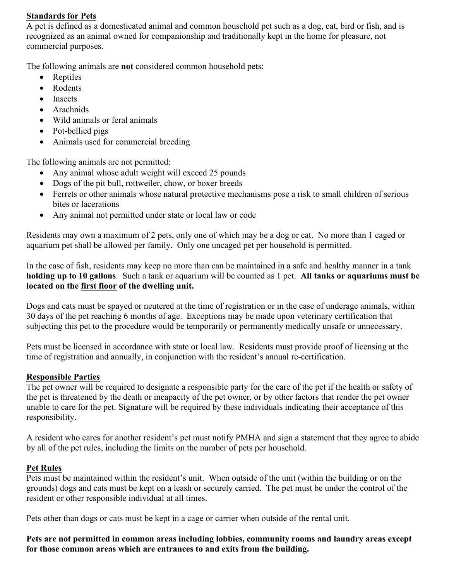#### **Standards for Pets**

A pet is defined as a domesticated animal and common household pet such as a dog, cat, bird or fish, and is recognized as an animal owned for companionship and traditionally kept in the home for pleasure, not commercial purposes.

The following animals are **not** considered common household pets:

- Reptiles
- Rodents
- Insects
- Arachnids
- Wild animals or feral animals
- Pot-bellied pigs
- Animals used for commercial breeding

The following animals are not permitted:

- Any animal whose adult weight will exceed 25 pounds
- Dogs of the pit bull, rottweiler, chow, or boxer breeds
- Ferrets or other animals whose natural protective mechanisms pose a risk to small children of serious bites or lacerations
- Any animal not permitted under state or local law or code

Residents may own a maximum of 2 pets, only one of which may be a dog or cat. No more than 1 caged or aquarium pet shall be allowed per family. Only one uncaged pet per household is permitted.

In the case of fish, residents may keep no more than can be maintained in a safe and healthy manner in a tank **holding up to 10 gallons**. Such a tank or aquarium will be counted as 1 pet. **All tanks or aquariums must be located on the first floor of the dwelling unit.**

Dogs and cats must be spayed or neutered at the time of registration or in the case of underage animals, within 30 days of the pet reaching 6 months of age. Exceptions may be made upon veterinary certification that subjecting this pet to the procedure would be temporarily or permanently medically unsafe or unnecessary.

Pets must be licensed in accordance with state or local law. Residents must provide proof of licensing at the time of registration and annually, in conjunction with the resident's annual re-certification.

### **Responsible Parties**

The pet owner will be required to designate a responsible party for the care of the pet if the health or safety of the pet is threatened by the death or incapacity of the pet owner, or by other factors that render the pet owner unable to care for the pet. Signature will be required by these individuals indicating their acceptance of this responsibility.

A resident who cares for another resident's pet must notify PMHA and sign a statement that they agree to abide by all of the pet rules, including the limits on the number of pets per household.

### **Pet Rules**

Pets must be maintained within the resident's unit. When outside of the unit (within the building or on the grounds) dogs and cats must be kept on a leash or securely carried. The pet must be under the control of the resident or other responsible individual at all times.

Pets other than dogs or cats must be kept in a cage or carrier when outside of the rental unit.

**Pets are not permitted in common areas including lobbies, community rooms and laundry areas except for those common areas which are entrances to and exits from the building.**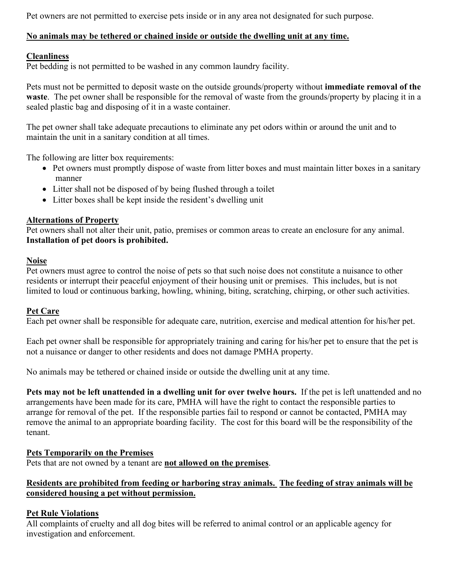Pet owners are not permitted to exercise pets inside or in any area not designated for such purpose.

# **No animals may be tethered or chained inside or outside the dwelling unit at any time.**

## **Cleanliness**

Pet bedding is not permitted to be washed in any common laundry facility.

Pets must not be permitted to deposit waste on the outside grounds/property without **immediate removal of the waste**. The pet owner shall be responsible for the removal of waste from the grounds/property by placing it in a sealed plastic bag and disposing of it in a waste container.

The pet owner shall take adequate precautions to eliminate any pet odors within or around the unit and to maintain the unit in a sanitary condition at all times.

The following are litter box requirements:

- Pet owners must promptly dispose of waste from litter boxes and must maintain litter boxes in a sanitary manner
- Litter shall not be disposed of by being flushed through a toilet
- Litter boxes shall be kept inside the resident's dwelling unit

# **Alternations of Property**

Pet owners shall not alter their unit, patio, premises or common areas to create an enclosure for any animal. **Installation of pet doors is prohibited.**

### **Noise**

Pet owners must agree to control the noise of pets so that such noise does not constitute a nuisance to other residents or interrupt their peaceful enjoyment of their housing unit or premises. This includes, but is not limited to loud or continuous barking, howling, whining, biting, scratching, chirping, or other such activities.

### **Pet Care**

Each pet owner shall be responsible for adequate care, nutrition, exercise and medical attention for his/her pet.

Each pet owner shall be responsible for appropriately training and caring for his/her pet to ensure that the pet is not a nuisance or danger to other residents and does not damage PMHA property.

No animals may be tethered or chained inside or outside the dwelling unit at any time.

**Pets may not be left unattended in a dwelling unit for over twelve hours.** If the pet is left unattended and no arrangements have been made for its care, PMHA will have the right to contact the responsible parties to arrange for removal of the pet. If the responsible parties fail to respond or cannot be contacted, PMHA may remove the animal to an appropriate boarding facility. The cost for this board will be the responsibility of the tenant.

### **Pets Temporarily on the Premises**

Pets that are not owned by a tenant are **not allowed on the premises**.

# **Residents are prohibited from feeding or harboring stray animals. The feeding of stray animals will be considered housing a pet without permission.**

# **Pet Rule Violations**

All complaints of cruelty and all dog bites will be referred to animal control or an applicable agency for investigation and enforcement.